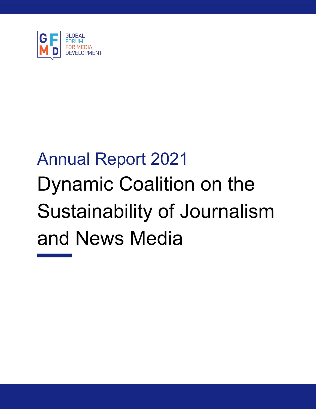

# Annual Report 2021 Dynamic Coalition on the Sustainability of Journalism and News Media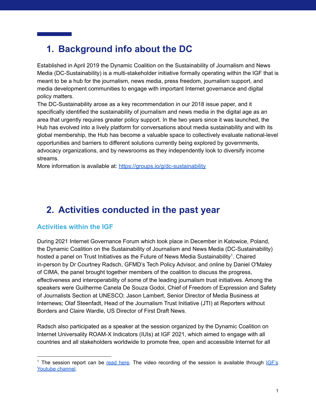## **1. Background info about the DC**

Established in April 2019 the Dynamic Coalition on the Sustainability of Journalism and News Media (DC-Sustainability) is a multi-stakeholder initiative formally operating within the IGF that is meant to be a hub for the journalism, news media, press freedom, journalism support, and media development communities to engage with important Internet governance and digital policy matters.

The DC-Sustainability arose as a key recommendation in our 2018 issue paper, and it specifically identified the sustainability of journalism and news media in the digital age as an area that urgently requires greater policy support. In the two years since it was launched, the Hub has evolved into a lively platform for conversations about media sustainability and with its global membership, the Hub has become a valuable space to collectively evaluate national-level opportunities and barriers to different solutions currently being explored by governments, advocacy organizations, and by newsrooms as they independently look to diversify income streams.

More information is available at: <https://groups.io/g/dc-sustainability>

## **2. Activities conducted in the past year**

#### **Activities within the IGF**

During 2021 Internet Governance Forum which took place in December in Katowice, Poland, the Dynamic Coalition on the Sustainability of Journalism and News Media (DC-Sustainability) hosted a panel on Trust Initiatives as the Future of News Media Sustainability<sup>1</sup>. Chaired in-person by Dr Courtney Radsch, GFMD's Tech Policy Advisor, and online by Daniel O'Maley of CIMA, the panel brought together members of the coalition to discuss the progress, effectiveness and interoperability of some of the leading journalism trust initiatives. Among the speakers were Guilherme Canela De Souza Godoi, Chief of Freedom of Expression and Safety of Journalists Section at UNESCO; Jason Lambert, Senior Director of Media Business at Internews; Olaf Steenfadt, Head of the Journalism Trust Initiative (JTI) at Reporters without Borders and Claire Wardle, US Director of First Draft News.

Radsch also participated as a speaker at the session organized by the Dynamic Coalition on Internet Universality ROAM-X Indicators (IUIs) at IGF 2021, which aimed to engage with all countries and all stakeholders worldwide to promote free, open and accessible Internet for all

<sup>&</sup>lt;sup>1</sup> The session report can be read [here.](https://gfmd.info/trust-initiatives-as-the-future-of-news-media-sustainability/) The video recording of the session is available through  $IGF's$ [Youtube](https://www.youtube.com/watch?v=RAnaoYhm5jI) channel.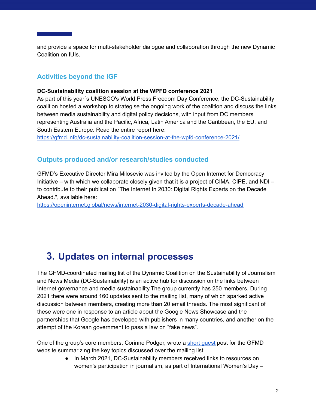and provide a space for multi-stakeholder dialogue and collaboration through the new Dynamic Coalition on IUIs.

### **Activities beyond the IGF**

#### **DC-Sustainability coalition session at the WPFD conference 2021**

As part of this year´s UNESCO's World Press Freedom Day Conference, the DC-Sustainability coalition hosted a workshop to strategise the ongoing work of the coalition and discuss the links between media sustainability and digital policy decisions, with input from DC members representing Australia and the Pacific, Africa, Latin America and the Caribbean, the EU, and South Eastern Europe. Read the entire report here:

<https://gfmd.info/dc-sustainability-coalition-session-at-the-wpfd-conference-2021/>

#### **Outputs produced and/or research/studies conducted**

GFMD's Executive Director Mira Milosevic was invited by the Open Internet for Democracy Initiative – with which we collaborate closely given that it is a project of CIMA, CIPE, and NDI – to contribute to their publication "The Internet In 2030: Digital Rights Experts on the Decade Ahead.", available here:

<https://openinternet.global/news/internet-2030-digital-rights-experts-decade-ahead>

## **3. Updates on internal processes**

The GFMD-coordinated mailing list of the Dynamic Coalition on the Sustainability of Journalism and News Media (DC-Sustainability) is an active hub for discussion on the links between Internet governance and media sustainability.The group currently has 250 members. During 2021 there were around 160 updates sent to the mailing list, many of which sparked active discussion between members, creating more than 20 email threads. The most significant of these were one in response to an article about the Google News Showcase and the partnerships that Google has developed with publishers in many countries, and another on the attempt of the Korean government to pass a law on "fake news".

One of the group's core members, Corinne Podger, wrote a short [guest](https://gfmd.info/the-dynamic-coalition-hub-for-public-interest-journalism-research-and-insights/) post for the GFMD website summarizing the key topics discussed over the mailing list:

> ● In March 2021, DC-Sustainability members received links to resources on women's participation in journalism, as part of International Women's Day –